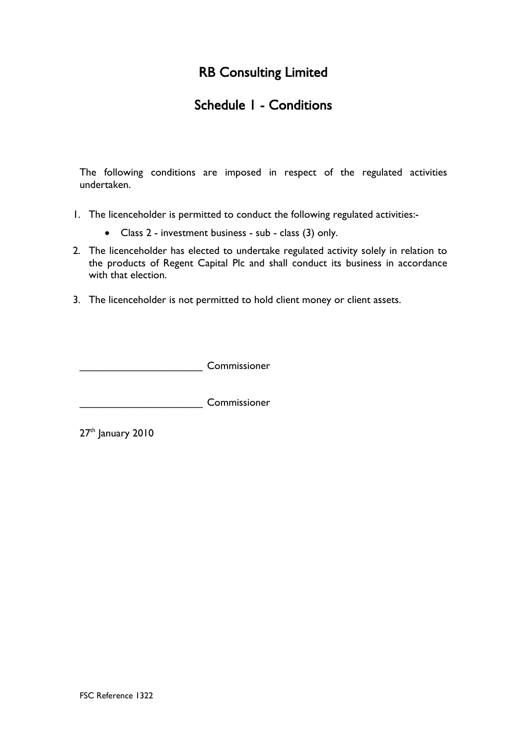# RB Consulting Limited

### Schedule 1 - Conditions

The following conditions are imposed in respect of the regulated activities undertaken.

- 1. The licenceholder is permitted to conduct the following regulated activities:-
	- Class 2 investment business sub class (3) only.
- 2. The licenceholder has elected to undertake regulated activity solely in relation to the products of Regent Capital Plc and shall conduct its business in accordance with that election.
- 3. The licenceholder is not permitted to hold client money or client assets.

**Example 20** Commissioner

\_\_\_\_\_\_\_\_\_\_\_\_\_\_\_\_\_\_\_\_\_ Commissioner

 $27<sup>th</sup>$  January 2010